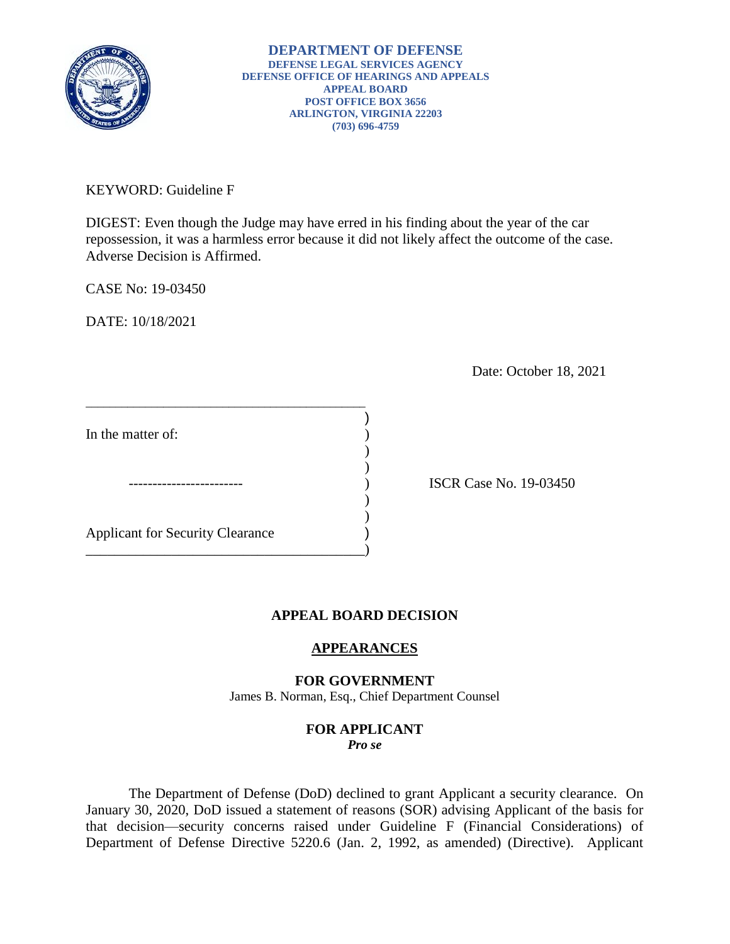

KEYWORD: Guideline F

DIGEST: Even though the Judge may have erred in his finding about the year of the car repossession, it was a harmless error because it did not likely affect the outcome of the case. Adverse Decision is Affirmed.

CASE No: 19-03450

DATE: 10/18/2021

Date: October 18, 2021

In the matter of:

 $\overline{\phantom{a}}$ Applicant for Security Clearance )

\_\_\_\_\_\_\_\_\_\_\_\_\_\_\_\_\_\_\_\_\_\_\_\_\_\_\_\_\_\_\_\_\_\_\_\_\_\_\_\_\_\_\_\_\_\_\_

 $)$ 

\_\_\_\_\_\_\_\_\_\_\_\_\_\_\_\_\_\_\_\_\_\_\_\_\_\_\_\_\_\_\_\_\_\_\_\_\_\_\_)

) ISCR Case No. 19-03450

# **APPEAL BOARD DECISION**

)

) )

# **APPEARANCES**

## **FOR GOVERNMENT**

James B. Norman, Esq., Chief Department Counsel

### **FOR APPLICANT**  *Pro se*

 The Department of Defense (DoD) declined to grant Applicant a security clearance. On January 30, 2020, DoD issued a statement of reasons (SOR) advising Applicant of the basis for that decision—security concerns raised under Guideline F (Financial Considerations) of Department of Defense Directive 5220.6 (Jan. 2, 1992, as amended) (Directive). Applicant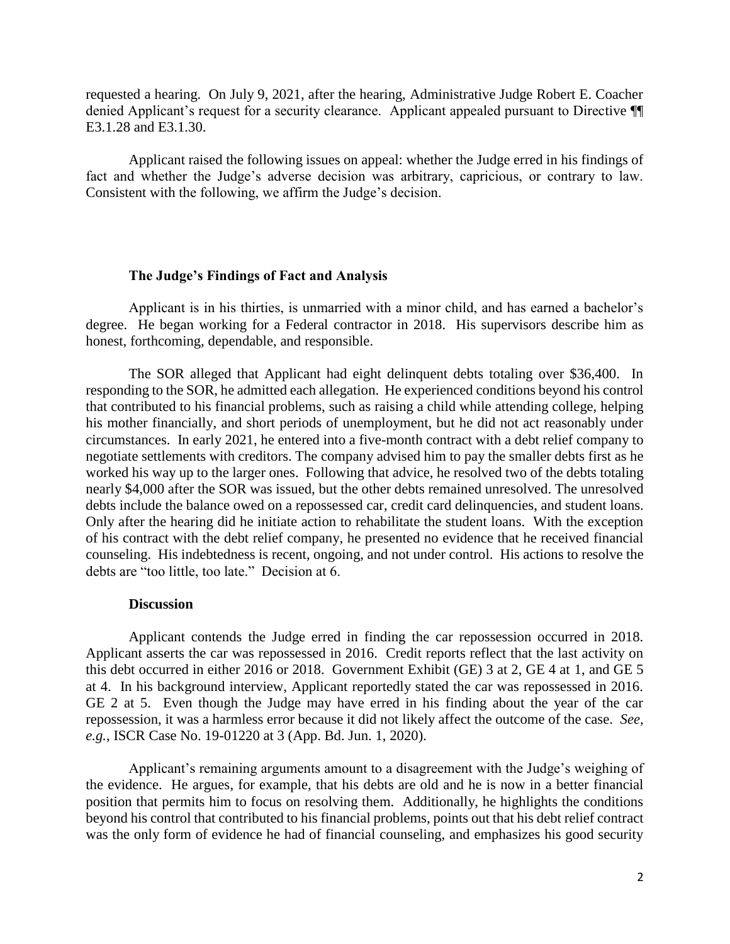requested a hearing. On July 9, 2021, after the hearing, Administrative Judge Robert E. Coacher denied Applicant's request for a security clearance. Applicant appealed pursuant to Directive ¶¶ E3.1.28 and E3.1.30.

 Applicant raised the following issues on appeal: whether the Judge erred in his findings of fact and whether the Judge's adverse decision was arbitrary, capricious, or contrary to law. Consistent with the following, we affirm the Judge's decision.

#### **The Judge's Findings of Fact and Analysis**

 Applicant is in his thirties, is unmarried with a minor child, and has earned a bachelor's degree. He began working for a Federal contractor in 2018. His supervisors describe him as honest, forthcoming, dependable, and responsible.

 The SOR alleged that Applicant had eight delinquent debts totaling over \$36,400. In responding to the SOR, he admitted each allegation. He experienced conditions beyond his control that contributed to his financial problems, such as raising a child while attending college, helping his mother financially, and short periods of unemployment, but he did not act reasonably under negotiate settlements with creditors. The company advised him to pay the smaller debts first as he worked his way up to the larger ones. Following that advice, he resolved two of the debts totaling debts include the balance owed on a repossessed car, credit card delinquencies, and student loans. debts include the balance owed on a repossessed car, credit card delinquencies, and student loans. Only after the hearing did he initiate action to rehabilitate the student loans. With the exception of his contract with the debt relief company, he presented no evidence that he received financial counseling. His indebtedness is recent, ongoing, and not under control. His actions to resolve the circumstances. In early 2021, he entered into a five-month contract with a debt relief company to nearly \$4,000 after the SOR was issued, but the other debts remained unresolved. The unresolved debts are "too little, too late." Decision at 6.

#### **Discussion**

 Applicant contends the Judge erred in finding the car repossession occurred in 2018. Applicant asserts the car was repossessed in 2016. Credit reports reflect that the last activity on this debt occurred in either 2016 or 2018. Government Exhibit (GE) 3 at 2, GE 4 at 1, and GE 5 at 4. In his background interview, Applicant reportedly stated the car was repossessed in 2016. at 4. In his background interview, Applicant reportedly stated the car was repossessed in 2016. GE 2 at 5. Even though the Judge may have erred in his finding about the year of the car repossession, it was a harmless error because it did not likely affect the outcome of the case. *See, e.g.*, ISCR Case No. 19-01220 at 3 (App. Bd. Jun. 1, 2020).

 Applicant's remaining arguments amount to a disagreement with the Judge's weighing of the evidence. He argues, for example, that his debts are old and he is now in a better financial position that permits him to focus on resolving them. Additionally, he highlights the conditions was the only form of evidence he had of financial counseling, and emphasizes his good security beyond his control that contributed to his financial problems, points out that his debt relief contract